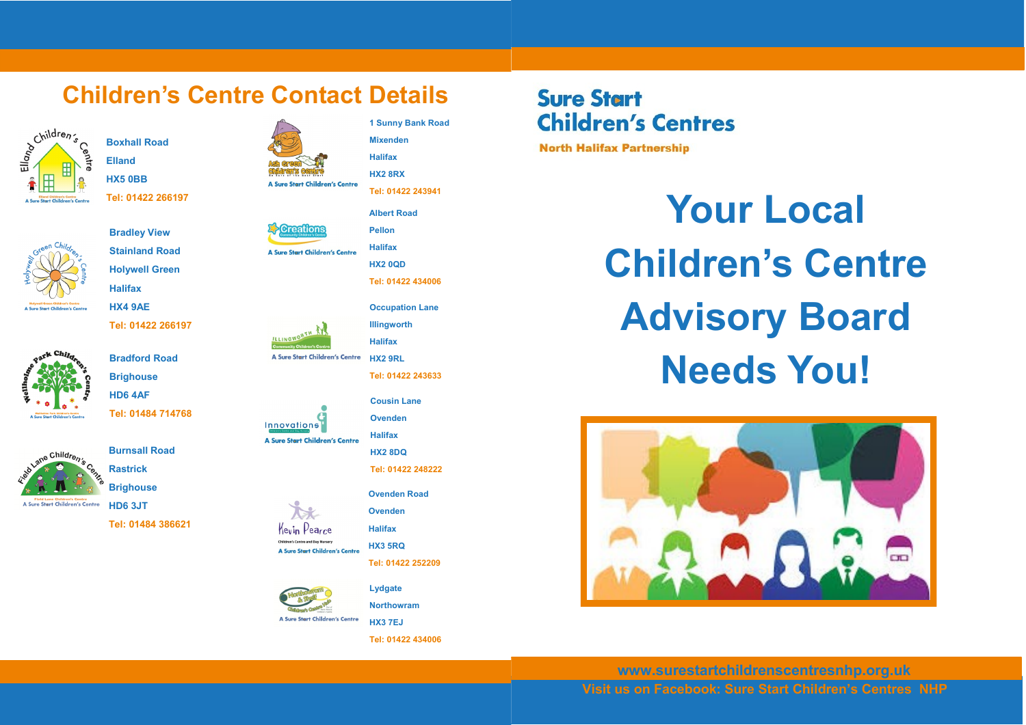#### **Children's Centre Contact Details**



**Boxhall Road Elland HX5 0BB Tel: 01422 266197**



**Holywell Green Halifax**

**Bradley View Stainland Road**

**HX4 9AE Tel: 01422 266197**

> **Bradford Road Brighouse HD6 4AF**

**Tel: 01484 714768**





**Brighouse HD6 3JT**

**Tel: 01484 386621**





ILLINGWORTH

**Innovations** 

**Halifax** A Sure Start Children's Centre



**Occupation Lane Illingworth**

**1 Sunny Bank Road**

**Tel: 01422 243941 Albert Road Pellon**

**Mixenden Halifax HX2 8RX**

**Halifax A Sure Start Children's Centre HX2 9RL**

**Tel: 01422 243633**

**Cousin Lane Ovenden**

**Halifax** A Sure Start Children's Centre



**Ovenden Road**

**Tel: 01422 252209**

**Lydgate Northowram HX3 7EJ**

**Ovenden Halifax**

en's Centre and Day Nursery **HX3 5RQ** A Sure Start Children's Centre

Kevin Pearce

A Sure Start Children's Centre

**Tel: 01422 434006**

# **Sure Start Children's Centres**

**North Halifax Partnership** 

**Your Local Children's Centre Advisory Board Needs You!**



**Visit us on Facebook: Sure Start Children's Centres NHP www.surestartchildrenscentresnhp.org.uk**